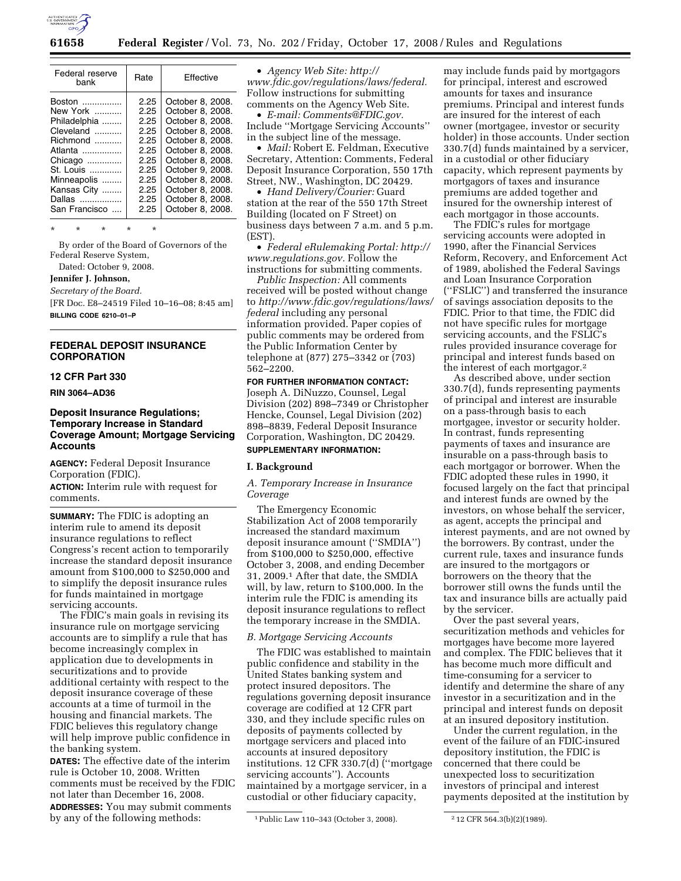

| Rate | Effective            |
|------|----------------------|
| 2.25 | October 8, 2008.     |
|      | October 8, 2008.     |
|      | October 8, 2008.     |
|      | October 8, 2008.     |
| 2.25 | October 8, 2008.     |
| 2.25 | October 8, 2008.     |
| 2.25 | October 8, 2008.     |
| 2.25 | October 9, 2008.     |
| 2.25 | October 8, 2008.     |
| 2.25 | October 8, 2008.     |
| 2.25 | October 8, 2008.     |
| 2.25 | October 8, 2008.     |
|      | 2.25<br>2.25<br>2.25 |

\* \* \* \* \*

By order of the Board of Governors of the Federal Reserve System,

Dated: October 9, 2008.

## **Jennifer J. Johnson,**

*Secretary of the Board.* 

[FR Doc. E8–24519 Filed 10–16–08; 8:45 am] **BILLING CODE 6210–01–P** 

#### **FEDERAL DEPOSIT INSURANCE CORPORATION**

#### **12 CFR Part 330**

**RIN 3064–AD36** 

## **Deposit Insurance Regulations; Temporary Increase in Standard Coverage Amount; Mortgage Servicing Accounts**

**AGENCY:** Federal Deposit Insurance Corporation (FDIC). **ACTION:** Interim rule with request for comments.

**SUMMARY:** The FDIC is adopting an interim rule to amend its deposit insurance regulations to reflect Congress's recent action to temporarily increase the standard deposit insurance amount from \$100,000 to \$250,000 and to simplify the deposit insurance rules for funds maintained in mortgage servicing accounts.

The FDIC's main goals in revising its insurance rule on mortgage servicing accounts are to simplify a rule that has become increasingly complex in application due to developments in securitizations and to provide additional certainty with respect to the deposit insurance coverage of these accounts at a time of turmoil in the housing and financial markets. The FDIC believes this regulatory change will help improve public confidence in the banking system.

**DATES:** The effective date of the interim rule is October 10, 2008. Written comments must be received by the FDIC not later than December 16, 2008. **ADDRESSES:** You may submit comments by any of the following methods:

• *Agency Web Site: http:// www.fdic.gov/regulations/laws/federal.*  Follow instructions for submitting comments on the Agency Web Site.

• *E-mail: Comments@FDIC.gov.*  Include ''Mortgage Servicing Accounts'' in the subject line of the message.

• *Mail:* Robert E. Feldman, Executive Secretary, Attention: Comments, Federal Deposit Insurance Corporation, 550 17th Street, NW., Washington, DC 20429.

• *Hand Delivery/Courier:* Guard station at the rear of the 550 17th Street Building (located on F Street) on business days between 7 a.m. and 5 p.m. (EST).

• *Federal eRulemaking Portal: http:// www.regulations.gov.* Follow the instructions for submitting comments.

*Public Inspection:* All comments received will be posted without change to *http://www.fdic.gov/regulations/laws/ federal* including any personal information provided. Paper copies of public comments may be ordered from the Public Information Center by telephone at (877) 275–3342 or (703) 562–2200.

#### **FOR FURTHER INFORMATION CONTACT:**

Joseph A. DiNuzzo, Counsel, Legal Division (202) 898–7349 or Christopher Hencke, Counsel, Legal Division (202) 898–8839, Federal Deposit Insurance Corporation, Washington, DC 20429. **SUPPLEMENTARY INFORMATION:** 

# **I. Background**

## *A. Temporary Increase in Insurance Coverage*

The Emergency Economic Stabilization Act of 2008 temporarily increased the standard maximum deposit insurance amount (''SMDIA'') from \$100,000 to \$250,000, effective October 3, 2008, and ending December 31, 2009.1 After that date, the SMDIA will, by law, return to \$100,000. In the interim rule the FDIC is amending its deposit insurance regulations to reflect the temporary increase in the SMDIA.

## *B. Mortgage Servicing Accounts*

The FDIC was established to maintain public confidence and stability in the United States banking system and protect insured depositors. The regulations governing deposit insurance coverage are codified at 12 CFR part 330, and they include specific rules on deposits of payments collected by mortgage servicers and placed into accounts at insured depository institutions. 12 CFR 330.7(d) (''mortgage servicing accounts''). Accounts maintained by a mortgage servicer, in a custodial or other fiduciary capacity,

may include funds paid by mortgagors for principal, interest and escrowed amounts for taxes and insurance premiums. Principal and interest funds are insured for the interest of each owner (mortgagee, investor or security holder) in those accounts. Under section 330.7(d) funds maintained by a servicer, in a custodial or other fiduciary capacity, which represent payments by mortgagors of taxes and insurance premiums are added together and insured for the ownership interest of each mortgagor in those accounts.

The FDIC's rules for mortgage servicing accounts were adopted in 1990, after the Financial Services Reform, Recovery, and Enforcement Act of 1989, abolished the Federal Savings and Loan Insurance Corporation (''FSLIC'') and transferred the insurance of savings association deposits to the FDIC. Prior to that time, the FDIC did not have specific rules for mortgage servicing accounts, and the FSLIC's rules provided insurance coverage for principal and interest funds based on the interest of each mortgagor.2

As described above, under section 330.7(d), funds representing payments of principal and interest are insurable on a pass-through basis to each mortgagee, investor or security holder. In contrast, funds representing payments of taxes and insurance are insurable on a pass-through basis to each mortgagor or borrower. When the FDIC adopted these rules in 1990, it focused largely on the fact that principal and interest funds are owned by the investors, on whose behalf the servicer, as agent, accepts the principal and interest payments, and are not owned by the borrowers. By contrast, under the current rule, taxes and insurance funds are insured to the mortgagors or borrowers on the theory that the borrower still owns the funds until the tax and insurance bills are actually paid by the servicer.

Over the past several years, securitization methods and vehicles for mortgages have become more layered and complex. The FDIC believes that it has become much more difficult and time-consuming for a servicer to identify and determine the share of any investor in a securitization and in the principal and interest funds on deposit at an insured depository institution.

Under the current regulation, in the event of the failure of an FDIC-insured depository institution, the FDIC is concerned that there could be unexpected loss to securitization investors of principal and interest payments deposited at the institution by

<sup>1</sup>Public Law 110–343 (October 3, 2008). 2 12 CFR 564.3(b)(2)(1989).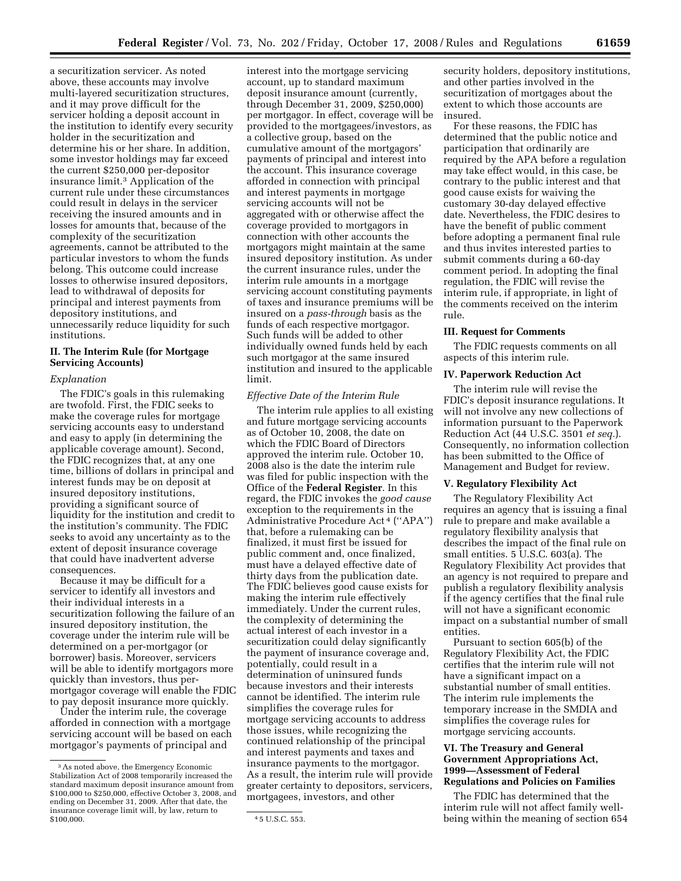a securitization servicer. As noted above, these accounts may involve multi-layered securitization structures, and it may prove difficult for the servicer holding a deposit account in the institution to identify every security holder in the securitization and determine his or her share. In addition, some investor holdings may far exceed the current \$250,000 per-depositor insurance limit.3 Application of the current rule under these circumstances could result in delays in the servicer receiving the insured amounts and in losses for amounts that, because of the complexity of the securitization agreements, cannot be attributed to the particular investors to whom the funds

belong. This outcome could increase losses to otherwise insured depositors, lead to withdrawal of deposits for principal and interest payments from depository institutions, and unnecessarily reduce liquidity for such institutions.

## **II. The Interim Rule (for Mortgage Servicing Accounts)**

#### *Explanation*

The FDIC's goals in this rulemaking are twofold. First, the FDIC seeks to make the coverage rules for mortgage servicing accounts easy to understand and easy to apply (in determining the applicable coverage amount). Second, the FDIC recognizes that, at any one time, billions of dollars in principal and interest funds may be on deposit at insured depository institutions, providing a significant source of liquidity for the institution and credit to the institution's community. The FDIC seeks to avoid any uncertainty as to the extent of deposit insurance coverage that could have inadvertent adverse consequences.

Because it may be difficult for a servicer to identify all investors and their individual interests in a securitization following the failure of an insured depository institution, the coverage under the interim rule will be determined on a per-mortgagor (or borrower) basis. Moreover, servicers will be able to identify mortgagors more quickly than investors, thus permortgagor coverage will enable the FDIC to pay deposit insurance more quickly.

Under the interim rule, the coverage afforded in connection with a mortgage servicing account will be based on each mortgagor's payments of principal and

interest into the mortgage servicing account, up to standard maximum deposit insurance amount (currently, through December 31, 2009, \$250,000) per mortgagor. In effect, coverage will be provided to the mortgagees/investors, as a collective group, based on the cumulative amount of the mortgagors' payments of principal and interest into the account. This insurance coverage afforded in connection with principal and interest payments in mortgage servicing accounts will not be aggregated with or otherwise affect the coverage provided to mortgagors in connection with other accounts the mortgagors might maintain at the same insured depository institution. As under the current insurance rules, under the interim rule amounts in a mortgage servicing account constituting payments of taxes and insurance premiums will be insured on a *pass-through* basis as the funds of each respective mortgagor. Such funds will be added to other individually owned funds held by each such mortgagor at the same insured institution and insured to the applicable limit.

### *Effective Date of the Interim Rule*

The interim rule applies to all existing and future mortgage servicing accounts as of October 10, 2008, the date on which the FDIC Board of Directors approved the interim rule. October 10, 2008 also is the date the interim rule was filed for public inspection with the Office of the **Federal Register**. In this regard, the FDIC invokes the *good cause*  exception to the requirements in the Administrative Procedure Act 4 (''APA'') that, before a rulemaking can be finalized, it must first be issued for public comment and, once finalized, must have a delayed effective date of thirty days from the publication date. The FDIC believes good cause exists for making the interim rule effectively immediately. Under the current rules, the complexity of determining the actual interest of each investor in a securitization could delay significantly the payment of insurance coverage and, potentially, could result in a determination of uninsured funds because investors and their interests cannot be identified. The interim rule simplifies the coverage rules for mortgage servicing accounts to address those issues, while recognizing the continued relationship of the principal and interest payments and taxes and insurance payments to the mortgagor. As a result, the interim rule will provide greater certainty to depositors, servicers, mortgagees, investors, and other

security holders, depository institutions, and other parties involved in the securitization of mortgages about the extent to which those accounts are insured.

For these reasons, the FDIC has determined that the public notice and participation that ordinarily are required by the APA before a regulation may take effect would, in this case, be contrary to the public interest and that good cause exists for waiving the customary 30-day delayed effective date. Nevertheless, the FDIC desires to have the benefit of public comment before adopting a permanent final rule and thus invites interested parties to submit comments during a 60-day comment period. In adopting the final regulation, the FDIC will revise the interim rule, if appropriate, in light of the comments received on the interim rule.

#### **III. Request for Comments**

The FDIC requests comments on all aspects of this interim rule.

#### **IV. Paperwork Reduction Act**

The interim rule will revise the FDIC's deposit insurance regulations. It will not involve any new collections of information pursuant to the Paperwork Reduction Act (44 U.S.C. 3501 *et seq.*). Consequently, no information collection has been submitted to the Office of Management and Budget for review.

#### **V. Regulatory Flexibility Act**

The Regulatory Flexibility Act requires an agency that is issuing a final rule to prepare and make available a regulatory flexibility analysis that describes the impact of the final rule on small entities. 5 U.S.C. 603(a). The Regulatory Flexibility Act provides that an agency is not required to prepare and publish a regulatory flexibility analysis if the agency certifies that the final rule will not have a significant economic impact on a substantial number of small entities.

Pursuant to section 605(b) of the Regulatory Flexibility Act, the FDIC certifies that the interim rule will not have a significant impact on a substantial number of small entities. The interim rule implements the temporary increase in the SMDIA and simplifies the coverage rules for mortgage servicing accounts.

## **VI. The Treasury and General Government Appropriations Act, 1999—Assessment of Federal Regulations and Policies on Families**

The FDIC has determined that the interim rule will not affect family wellbeing within the meaning of section 654

<sup>3</sup>As noted above, the Emergency Economic Stabilization Act of 2008 temporarily increased the standard maximum deposit insurance amount from \$100,000 to \$250,000, effective October 3, 2008, and ending on December 31, 2009. After that date, the insurance coverage limit will, by law, return to

<sup>4 5</sup> U.S.C. 553.